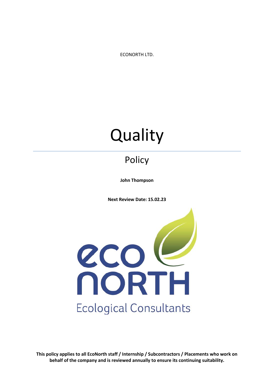ECONORTH LTD.

# **Quality**

## **Policy**

**John Thompson**

**Next Review Date: 15.02.23**



**This policy applies to all EcoNorth staff / Internship / Subcontractors / Placements who work on behalf of the company and is reviewed annually to ensure its continuing suitability.**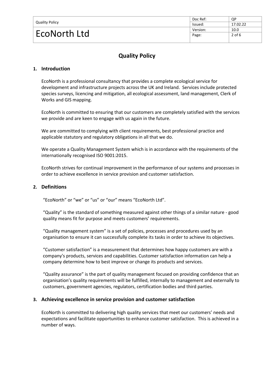| <b>Quality Policy</b> | Doc Ref: | QP       |
|-----------------------|----------|----------|
|                       | lssued:  | 17.02.22 |
| EcoNorth Ltd          | Version: | 10.0     |
|                       | Page:    | $2$ of 6 |
|                       |          |          |

### **Quality Policy**

#### **1. Introduction**

EcoNorth is a professional consultancy that provides a complete ecological service for development and infrastructure projects across the UK and Ireland. Services include protected species surveys, licencing and mitigation, all ecological assessment, land management, Clerk of Works and GIS mapping.

EcoNorth is committed to ensuring that our customers are completely satisfied with the services we provide and are keen to engage with us again in the future.

We are committed to complying with client requirements, best professional practice and applicable statutory and regulatory obligations in all that we do.

We operate a Quality Management System which is in accordance with the requirements of the internationally recognised ISO 9001:2015.

EcoNorth strives for continual improvement in the performance of our systems and processes in order to achieve excellence in service provision and customer satisfaction.

#### **2. Definitions**

"EcoNorth" or "we" or "us" or "our" means "EcoNorth Ltd".

"Quality" is the standard of something measured against other things of a similar nature - good quality means fit for purpose and meets customers' requirements.

"Quality management system" is a set of policies, processes and procedures used by an organisation to ensure it can successfully complete its tasks in order to achieve its objectives.

"Customer satisfaction" is a measurement that determines how happy customers are with a company's products, services and capabilities. Customer satisfaction information can help a company determine how to best improve or change its products and services.

"Quality assurance" is the part of quality management focused on providing confidence that an organisation's quality requirements will be fulfilled, internally to management and externally to customers, government agencies, regulators, certification bodies and third parties.

#### **3. Achieving excellence in service provision and customer satisfaction**

EcoNorth is committed to delivering high quality services that meet our customers' needs and expectations and facilitate opportunities to enhance customer satisfaction. This is achieved in a number of ways.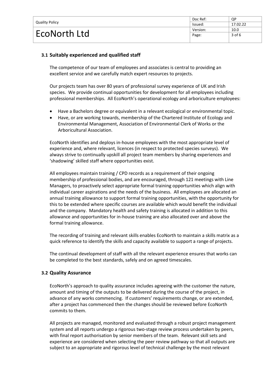| <b>Quality Policy</b> | Doc Ref: | QP       |
|-----------------------|----------|----------|
|                       | Issued:  | 17.02.22 |
| EcoNorth Ltd          | Version: | 10.0     |
|                       | Page:    | $3$ of 6 |
|                       |          |          |

#### **3.1 Suitably experienced and qualified staff**

The competence of our team of employees and associates is central to providing an excellent service and we carefully match expert resources to projects.

Our projects team has over 80 years of professional survey experience of UK and Irish species. We provide continual opportunities for development for all employees including professional memberships. All EcoNorth's operational ecology and arboriculture employees:

- Have a Bachelors degree or equivalent in a relevant ecological or environmental topic.
- Have, or are working towards, membership of the Chartered Institute of Ecology and Environmental Management, Association of Environmental Clerk of Works or the Arboricultural Association.

EcoNorth identifies and deploys in-house employees with the most appropriate level of experience and, where relevant, licences (in respect to protected species surveys). We always strive to continually upskill all project team members by sharing experiences and 'shadowing' skilled staff where opportunities exist.

All employees maintain training / CPD records as a requirement of their ongoing membership of professional bodies, and are encouraged, through 121 meetings with Line Managers, to proactively select appropriate formal training opportunities which align with individual career aspirations and the needs of the business. All employees are allocated an annual training allowance to support formal training opportunities, with the opportunity for this to be extended where specific courses are available which would benefit the individual and the company. Mandatory health and safety training is allocated in addition to this allowance and opportunities for in-house training are also allocated over and above the formal training allowance.

The recording of training and relevant skills enables EcoNorth to maintain a skills matrix as a quick reference to identify the skills and capacity available to support a range of projects.

The continual development of staff with all the relevant experience ensures that works can be completed to the best standards, safely and on agreed timescales.

#### **3.2 Quality Assurance**

EcoNorth's approach to quality assurance includes agreeing with the customer the nature, amount and timing of the outputs to be delivered during the course of the project, in advance of any works commencing. If customers' requirements change, or are extended, after a project has commenced then the changes should be reviewed before EcoNorth commits to them.

All projects are managed, monitored and evaluated through a robust project management system and all reports undergo a rigorous two-stage review process undertaken by peers, with final report authorisation by senior members of the team. Relevant skill sets and experience are considered when selecting the peer review pathway so that all outputs are subject to an appropriate and rigorous level of technical challenge by the most relevant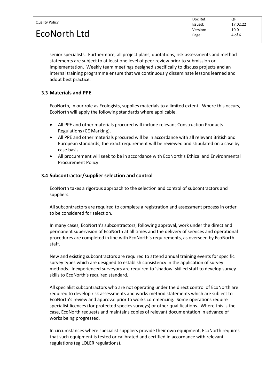| <b>Quality Policy</b><br>EcoNorth Ltd | Doc Ref: | QP       |
|---------------------------------------|----------|----------|
|                                       | Issued:  | 17.02.22 |
|                                       | Version: | 10.0     |
|                                       | Page:    | 4 of 6   |
|                                       |          |          |

senior specialists. Furthermore, all project plans, quotations, risk assessments and method statements are subject to at least one level of peer review prior to submission or implementation. Weekly team meetings designed specifically to discuss projects and an internal training programme ensure that we continuously disseminate lessons learned and adopt best practice.

#### **3.3 Materials and PPE**

EcoNorth, in our role as Ecologists, supplies materials to a limited extent. Where this occurs, EcoNorth will apply the following standards where applicable.

- All PPE and other materials procured will include relevant Construction Products Regulations (CE Marking).
- All PPE and other materials procured will be in accordance with all relevant British and European standards; the exact requirement will be reviewed and stipulated on a case by case basis.
- All procurement will seek to be in accordance with EcoNorth's Ethical and Environmental Procurement Policy.

#### **3.4 Subcontractor/supplier selection and control**

EcoNorth takes a rigorous approach to the selection and control of subcontractors and suppliers.

All subcontractors are required to complete a registration and assessment process in order to be considered for selection.

In many cases, EcoNorth's subcontractors, following approval, work under the direct and permanent supervision of EcoNorth at all times and the delivery of services and operational procedures are completed in line with EcoNorth's requirements, as overseen by EcoNorth staff.

New and existing subcontractors are required to attend annual training events for specific survey types which are designed to establish consistency in the application of survey methods. Inexperienced surveyors are required to 'shadow' skilled staff to develop survey skills to EcoNorth's required standard.

All specialist subcontractors who are not operating under the direct control of EcoNorth are required to develop risk assessments and works method statements which are subject to EcoNorth's review and approval prior to works commencing. Some operations require specialist licences (for protected species surveys) or other qualifications. Where this is the case, EcoNorth requests and maintains copies of relevant documentation in advance of works being progressed.

In circumstances where specialist suppliers provide their own equipment, EcoNorth requires that such equipment is tested or calibrated and certified in accordance with relevant regulations (eg LOLER regulations).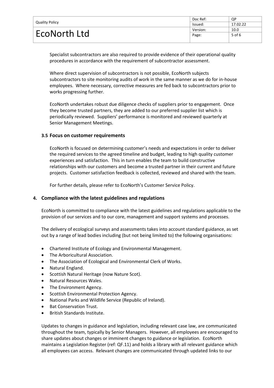| <b>Quality Policy</b> | Doc Ref: | QP       |
|-----------------------|----------|----------|
|                       | lssued:  | 17.02.22 |
| EcoNorth Ltd          | Version: | 10.0     |
|                       | Page:    | 5 of 6   |
|                       |          |          |

Specialist subcontractors are also required to provide evidence of their operational quality procedures in accordance with the requirement of subcontractor assessment.

Where direct supervision of subcontractors is not possible, EcoNorth subjects subcontractors to site monitoring audits of work in the same manner as we do for in-house employees. Where necessary, corrective measures are fed back to subcontractors prior to works progressing further.

EcoNorth undertakes robust due diligence checks of suppliers prior to engagement. Once they become trusted partners, they are added to our preferred supplier list which is periodically reviewed. Suppliers' performance is monitored and reviewed quarterly at Senior Management Meetings.

#### **3.5 Focus on customer requirements**

EcoNorth is focused on determining customer's needs and expectations in order to deliver the required services to the agreed timeline and budget, leading to high quality customer experiences and satisfaction. This in turn enables the team to build constructive relationships with our customers and become a trusted partner in their current and future projects. Customer satisfaction feedback is collected, reviewed and shared with the team.

For further details, please refer to EcoNorth's Customer Service Policy.

#### **4. Compliance with the latest guidelines and regulations**

EcoNorth is committed to compliance with the latest guidelines and regulations applicable to the provision of our services and to our core, management and support systems and processes.

The delivery of ecological surveys and assessments takes into account standard guidance, as set out by a range of lead bodies including (but not being limited to) the following organisations:

- Chartered Institute of Ecology and Environmental Management.
- The Arboricultural Association.
- The Association of Ecological and Environmental Clerk of Works.
- Natural England.
- Scottish Natural Heritage (now Nature Scot).
- Natural Resources Wales.
- The Environment Agency.
- Scottish Environmental Protection Agency.
- National Parks and Wildlife Service (Republic of Ireland).
- **Bat Conservation Trust.**
- British Standards Institute.

Updates to changes in guidance and legislation, including relevant case law, are communicated throughout the team, typically by Senior Managers. However, all employees are encouraged to share updates about changes or imminent changes to guidance or legislation. EcoNorth maintains a Legislation Register (ref: QF.11) and holds a library with all relevant guidance which all employees can access. Relevant changes are communicated through updated links to our